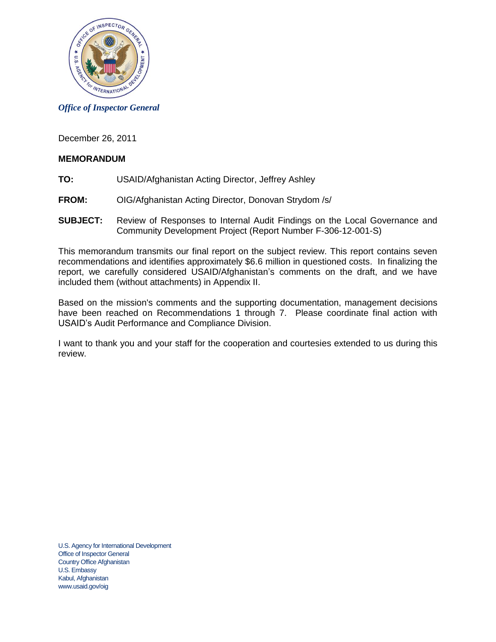

*Office of Inspector General*

December 26, 2011

### **MEMORANDUM**

- **TO:** USAID/Afghanistan Acting Director, Jeffrey Ashley
- **FROM:** OIG/Afghanistan Acting Director, Donovan Strydom /s/
- **SUBJECT:** Review of Responses to Internal Audit Findings on the Local Governance and Community Development Project (Report Number F-306-12-001-S)

This memorandum transmits our final report on the subject review. This report contains seven recommendations and identifies approximately \$6.6 million in questioned costs. In finalizing the report, we carefully considered USAID/Afghanistan's comments on the draft, and we have included them (without attachments) in Appendix II.

Based on the mission's comments and the supporting documentation, management decisions have been reached on Recommendations 1 through 7. Please coordinate final action with USAID's Audit Performance and Compliance Division.

I want to thank you and your staff for the cooperation and courtesies extended to us during this review.

U.S. Agency for International Development Office of Inspector General Country Office Afghanistan U.S. Embassy Kabul, Afghanistan www.usaid.gov/oig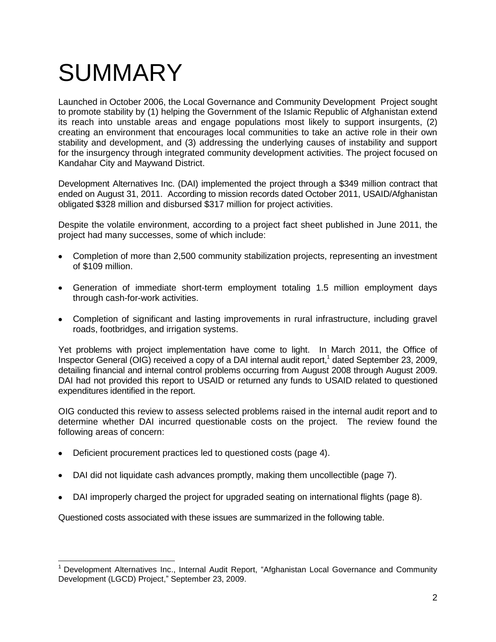## **SUMMARY**

Launched in October 2006, the Local Governance and Community Development Project sought to promote stability by (1) helping the Government of the Islamic Republic of Afghanistan extend its reach into unstable areas and engage populations most likely to support insurgents, (2) creating an environment that encourages local communities to take an active role in their own stability and development, and (3) addressing the underlying causes of instability and support for the insurgency through integrated community development activities. The project focused on Kandahar City and Maywand District.

Development Alternatives Inc. (DAI) implemented the project through a \$349 million contract that ended on August 31, 2011. According to mission records dated October 2011, USAID/Afghanistan obligated \$328 million and disbursed \$317 million for project activities.

Despite the volatile environment, according to a project fact sheet published in June 2011, the project had many successes, some of which include:

- Completion of more than 2,500 community stabilization projects, representing an investment  $\bullet$ of \$109 million.
- Generation of immediate short-term employment totaling 1.5 million employment days through cash-for-work activities.
- Completion of significant and lasting improvements in rural infrastructure, including gravel roads, footbridges, and irrigation systems.

Yet problems with project implementation have come to light. In March 2011, the Office of Inspector General (OIG) received a copy of a DAI internal audit report, 1 dated September 23, 2009, detailing financial and internal control problems occurring from August 2008 through August 2009. DAI had not provided this report to USAID or returned any funds to USAID related to questioned expenditures identified in the report.

OIG conducted this review to assess selected problems raised in the internal audit report and to determine whether DAI incurred questionable costs on the project. The review found the following areas of concern:

Deficient procurement practices led to questioned costs (page [4\)](#page-3-0).  $\bullet$ 

- DAI did not liquidate cash advances promptly, making them uncollectible (page [7\)](#page-6-0).
- DAI improperly charged the project for upgraded seating on international flights (page [8\)](#page-7-0).

Questioned costs associated with these issues are summarized in the following table.

 $1$  Development Alternatives Inc., Internal Audit Report, "Afghanistan Local Governance and Community Development (LGCD) Project," September 23, 2009.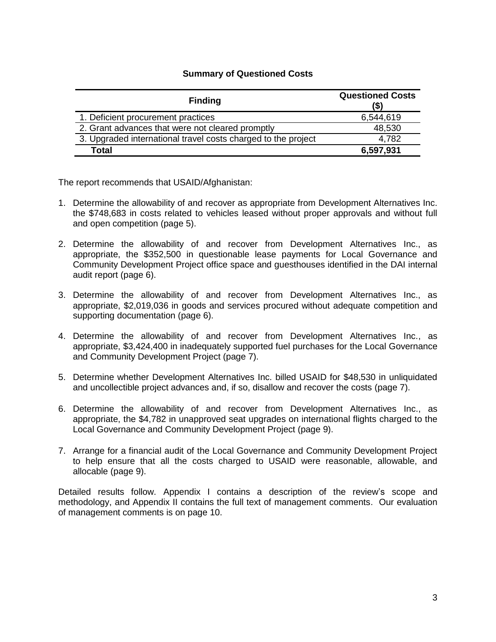#### **Summary of Questioned Costs**

| <b>Finding</b>                                                | <b>Questioned Costs</b><br>(\$) |
|---------------------------------------------------------------|---------------------------------|
| 1. Deficient procurement practices                            | 6,544,619                       |
| 2. Grant advances that were not cleared promptly              | 48,530                          |
| 3. Upgraded international travel costs charged to the project | 4,782                           |
| <b>Total</b>                                                  | 6,597,931                       |

The report recommends that USAID/Afghanistan:

- 1. Determine the allowability of and recover as appropriate from Development Alternatives Inc. the \$748,683 in costs related to vehicles leased without proper approvals and without full and open competition (page [5\)](#page-4-0).
- 2. Determine the allowability of and recover from Development Alternatives Inc., as appropriate, the \$352,500 in questionable lease payments for Local Governance and Community Development Project office space and guesthouses identified in the DAI internal audit report (page [6\)](#page-5-0).
- 3. Determine the allowability of and recover from Development Alternatives Inc., as appropriate, \$2,019,036 in goods and services procured without adequate competition and supporting documentation (page [6\)](#page-5-1).
- 4. Determine the allowability of and recover from Development Alternatives Inc., as appropriate, \$3,424,400 in inadequately supported fuel purchases for the Local Governance and Community Development Project (page [7\)](#page-6-1).
- 5. Determine whether Development Alternatives Inc. billed USAID for \$48,530 in unliquidated and uncollectible project advances and, if so, disallow and recover the costs (page [7\)](#page-6-2).
- 6. Determine the allowability of and recover from Development Alternatives Inc., as appropriate, the \$4,782 in unapproved seat upgrades on international flights charged to the Local Governance and Community Development Project (page [9\)](#page-8-0).
- 7. Arrange for a financial audit of the Local Governance and Community Development Project to help ensure that all the costs charged to USAID were reasonable, allowable, and allocable (page [9\)](#page-8-1).

Detailed results follow. Appendix I contains a description of the review's scope and methodology, and Appendix II contains the full text of management comments. Our evaluation of management comments is on page [10.](#page-9-0)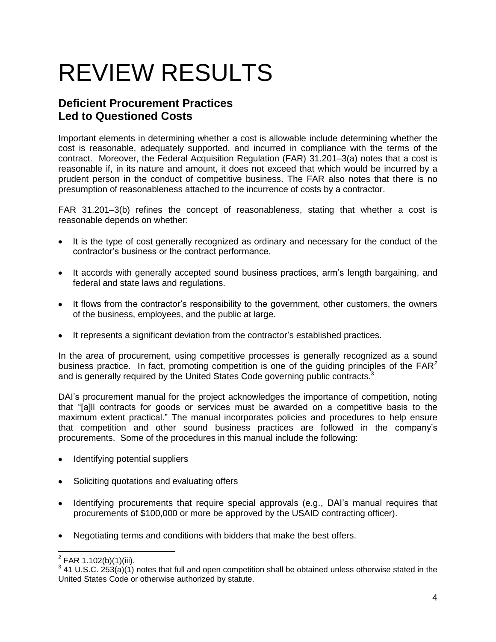## REVIEW RESULTS

### <span id="page-3-0"></span>**Deficient Procurement Practices Led to Questioned Costs**

Important elements in determining whether a cost is allowable include determining whether the cost is reasonable, adequately supported, and incurred in compliance with the terms of the contract. Moreover, the Federal Acquisition Regulation (FAR) 31.201–3(a) notes that a cost is reasonable if, in its nature and amount, it does not exceed that which would be incurred by a prudent person in the conduct of competitive business. The FAR also notes that there is no presumption of reasonableness attached to the incurrence of costs by a contractor.

FAR 31.201–3(b) refines the concept of reasonableness, stating that whether a cost is reasonable depends on whether:

- It is the type of cost generally recognized as ordinary and necessary for the conduct of the contractor's business or the contract performance.
- It accords with generally accepted sound business practices, arm's length bargaining, and federal and state laws and regulations.
- It flows from the contractor's responsibility to the government, other customers, the owners of the business, employees, and the public at large.
- It represents a significant deviation from the contractor's established practices.

In the area of procurement, using competitive processes is generally recognized as a sound business practice. In fact, promoting competition is one of the quiding principles of the  $FAR<sup>2</sup>$ and is generally required by the United States Code governing public contracts.<sup>3</sup>

DAI's procurement manual for the project acknowledges the importance of competition, noting that "[a]ll contracts for goods or services must be awarded on a competitive basis to the maximum extent practical.‖ The manual incorporates policies and procedures to help ensure that competition and other sound business practices are followed in the company's procurements. Some of the procedures in this manual include the following:

- Identifying potential suppliers
- Soliciting quotations and evaluating offers
- Identifying procurements that require special approvals (e.g., DAI's manual requires that procurements of \$100,000 or more be approved by the USAID contracting officer).
- Negotiating terms and conditions with bidders that make the best offers.

 2 FAR 1.102(b)(1)(iii).

 $3$  41 U.S.C. 253(a)(1) notes that full and open competition shall be obtained unless otherwise stated in the United States Code or otherwise authorized by statute.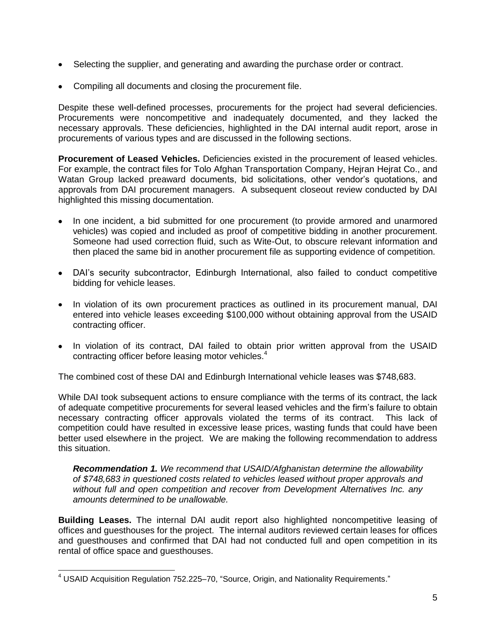- Selecting the supplier, and generating and awarding the purchase order or contract.
- Compiling all documents and closing the procurement file.

Despite these well-defined processes, procurements for the project had several deficiencies. Procurements were noncompetitive and inadequately documented, and they lacked the necessary approvals. These deficiencies, highlighted in the DAI internal audit report, arose in procurements of various types and are discussed in the following sections.

**Procurement of Leased Vehicles.** Deficiencies existed in the procurement of leased vehicles. For example, the contract files for Tolo Afghan Transportation Company, Hejran Hejrat Co., and Watan Group lacked preaward documents, bid solicitations, other vendor's quotations, and approvals from DAI procurement managers. A subsequent closeout review conducted by DAI highlighted this missing documentation.

- In one incident, a bid submitted for one procurement (to provide armored and unarmored vehicles) was copied and included as proof of competitive bidding in another procurement. Someone had used correction fluid, such as Wite-Out, to obscure relevant information and then placed the same bid in another procurement file as supporting evidence of competition.
- DAI's security subcontractor, Edinburgh International, also failed to conduct competitive bidding for vehicle leases.
- In violation of its own procurement practices as outlined in its procurement manual, DAI entered into vehicle leases exceeding \$100,000 without obtaining approval from the USAID contracting officer.
- In violation of its contract, DAI failed to obtain prior written approval from the USAID contracting officer before leasing motor vehicles.<sup>4</sup>

The combined cost of these DAI and Edinburgh International vehicle leases was \$748,683.

While DAI took subsequent actions to ensure compliance with the terms of its contract, the lack of adequate competitive procurements for several leased vehicles and the firm's failure to obtain necessary contracting officer approvals violated the terms of its contract. This lack of competition could have resulted in excessive lease prices, wasting funds that could have been better used elsewhere in the project. We are making the following recommendation to address this situation.

<span id="page-4-0"></span>*Recommendation 1. We recommend that USAID/Afghanistan determine the allowability of \$748,683 in questioned costs related to vehicles leased without proper approvals and without full and open competition and recover from Development Alternatives Inc. any amounts determined to be unallowable.*

**Building Leases.** The internal DAI audit report also highlighted noncompetitive leasing of offices and guesthouses for the project. The internal auditors reviewed certain leases for offices and guesthouses and confirmed that DAI had not conducted full and open competition in its rental of office space and guesthouses.

 $4$  USAID Acquisition Regulation 752.225-70, "Source, Origin, and Nationality Requirements."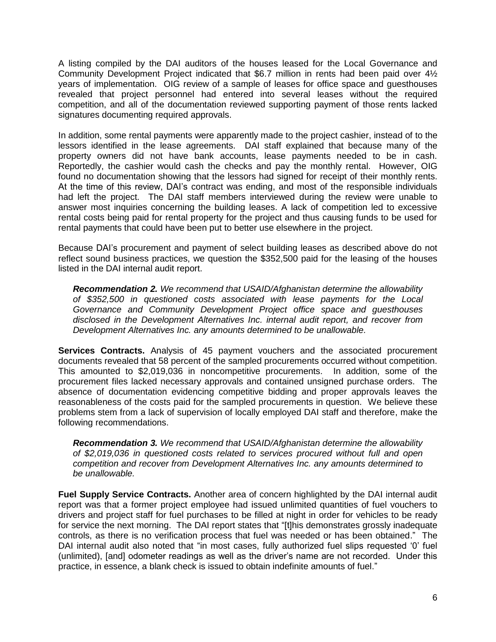A listing compiled by the DAI auditors of the houses leased for the Local Governance and Community Development Project indicated that \$6.7 million in rents had been paid over 4½ years of implementation. OIG review of a sample of leases for office space and guesthouses revealed that project personnel had entered into several leases without the required competition, and all of the documentation reviewed supporting payment of those rents lacked signatures documenting required approvals.

In addition, some rental payments were apparently made to the project cashier, instead of to the lessors identified in the lease agreements. DAI staff explained that because many of the property owners did not have bank accounts, lease payments needed to be in cash. Reportedly, the cashier would cash the checks and pay the monthly rental. However, OIG found no documentation showing that the lessors had signed for receipt of their monthly rents. At the time of this review, DAI's contract was ending, and most of the responsible individuals had left the project. The DAI staff members interviewed during the review were unable to answer most inquiries concerning the building leases. A lack of competition led to excessive rental costs being paid for rental property for the project and thus causing funds to be used for rental payments that could have been put to better use elsewhere in the project.

Because DAI's procurement and payment of select building leases as described above do not reflect sound business practices, we question the \$352,500 paid for the leasing of the houses listed in the DAI internal audit report.

<span id="page-5-0"></span>*Recommendation 2. We recommend that USAID/Afghanistan determine the allowability of \$352,500 in questioned costs associated with lease payments for the Local Governance and Community Development Project office space and guesthouses disclosed in the Development Alternatives Inc. internal audit report, and recover from Development Alternatives Inc. any amounts determined to be unallowable.*

**Services Contracts.** Analysis of 45 payment vouchers and the associated procurement documents revealed that 58 percent of the sampled procurements occurred without competition. This amounted to \$2,019,036 in noncompetitive procurements. In addition, some of the procurement files lacked necessary approvals and contained unsigned purchase orders. The absence of documentation evidencing competitive bidding and proper approvals leaves the reasonableness of the costs paid for the sampled procurements in question. We believe these problems stem from a lack of supervision of locally employed DAI staff and therefore, make the following recommendations.

<span id="page-5-1"></span>*Recommendation 3. We recommend that USAID/Afghanistan determine the allowability of \$2,019,036 in questioned costs related to services procured without full and open competition and recover from Development Alternatives Inc. any amounts determined to be unallowable.*

**Fuel Supply Service Contracts.** Another area of concern highlighted by the DAI internal audit report was that a former project employee had issued unlimited quantities of fuel vouchers to drivers and project staff for fuel purchases to be filled at night in order for vehicles to be ready for service the next morning. The DAI report states that "[t]his demonstrates grossly inadequate controls, as there is no verification process that fuel was needed or has been obtained." The DAI internal audit also noted that "in most cases, fully authorized fuel slips requested '0' fuel (unlimited), [and] odometer readings as well as the driver's name are not recorded. Under this practice, in essence, a blank check is issued to obtain indefinite amounts of fuel."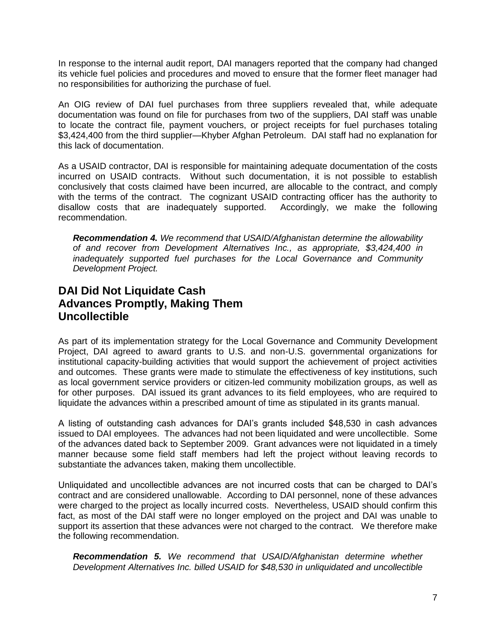In response to the internal audit report, DAI managers reported that the company had changed its vehicle fuel policies and procedures and moved to ensure that the former fleet manager had no responsibilities for authorizing the purchase of fuel.

An OIG review of DAI fuel purchases from three suppliers revealed that, while adequate documentation was found on file for purchases from two of the suppliers, DAI staff was unable to locate the contract file, payment vouchers, or project receipts for fuel purchases totaling \$3,424,400 from the third supplier—Khyber Afghan Petroleum. DAI staff had no explanation for this lack of documentation.

As a USAID contractor, DAI is responsible for maintaining adequate documentation of the costs incurred on USAID contracts. Without such documentation, it is not possible to establish conclusively that costs claimed have been incurred, are allocable to the contract, and comply with the terms of the contract. The cognizant USAID contracting officer has the authority to disallow costs that are inadequately supported. Accordingly, we make the following recommendation.

<span id="page-6-1"></span>*Recommendation 4. We recommend that USAID/Afghanistan determine the allowability of and recover from Development Alternatives Inc., as appropriate, \$3,424,400 in inadequately supported fuel purchases for the Local Governance and Community Development Project.* 

### <span id="page-6-0"></span>**DAI Did Not Liquidate Cash Advances Promptly, Making Them Uncollectible**

As part of its implementation strategy for the Local Governance and Community Development Project, DAI agreed to award grants to U.S. and non-U.S. governmental organizations for institutional capacity-building activities that would support the achievement of project activities and outcomes. These grants were made to stimulate the effectiveness of key institutions, such as local government service providers or citizen-led community mobilization groups, as well as for other purposes. DAI issued its grant advances to its field employees, who are required to liquidate the advances within a prescribed amount of time as stipulated in its grants manual.

A listing of outstanding cash advances for DAI's grants included \$48,530 in cash advances issued to DAI employees. The advances had not been liquidated and were uncollectible. Some of the advances dated back to September 2009. Grant advances were not liquidated in a timely manner because some field staff members had left the project without leaving records to substantiate the advances taken, making them uncollectible.

Unliquidated and uncollectible advances are not incurred costs that can be charged to DAI's contract and are considered unallowable. According to DAI personnel, none of these advances were charged to the project as locally incurred costs. Nevertheless, USAID should confirm this fact, as most of the DAI staff were no longer employed on the project and DAI was unable to support its assertion that these advances were not charged to the contract. We therefore make the following recommendation.

<span id="page-6-2"></span>*Recommendation 5. We recommend that USAID/Afghanistan determine whether Development Alternatives Inc. billed USAID for \$48,530 in unliquidated and uncollectible*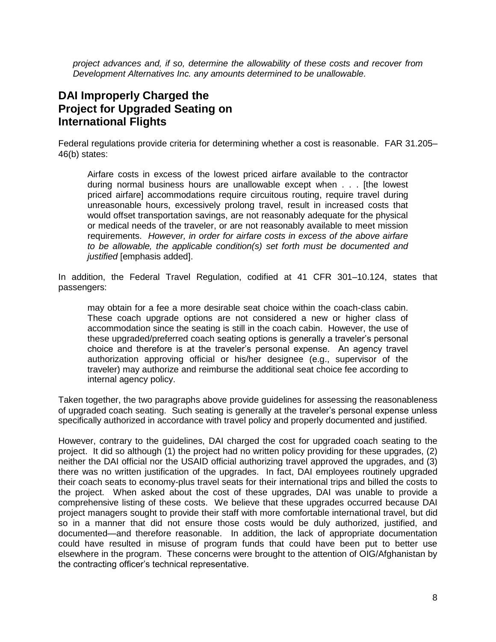*project advances and, if so, determine the allowability of these costs and recover from Development Alternatives Inc. any amounts determined to be unallowable.* 

### <span id="page-7-0"></span>**DAI Improperly Charged the Project for Upgraded Seating on International Flights**

Federal regulations provide criteria for determining whether a cost is reasonable. FAR 31.205– 46(b) states:

Airfare costs in excess of the lowest priced airfare available to the contractor during normal business hours are unallowable except when . . . [the lowest priced airfare] accommodations require circuitous routing, require travel during unreasonable hours, excessively prolong travel, result in increased costs that would offset transportation savings, are not reasonably adequate for the physical or medical needs of the traveler, or are not reasonably available to meet mission requirements. *However, in order for airfare costs in excess of the above airfare to be allowable, the applicable condition(s) set forth must be documented and justified* [emphasis added].

In addition, the Federal Travel Regulation, codified at 41 CFR 301–10.124, states that passengers:

may obtain for a fee a more desirable seat choice within the coach-class cabin. These coach upgrade options are not considered a new or higher class of accommodation since the seating is still in the coach cabin. However, the use of these upgraded/preferred coach seating options is generally a traveler's personal choice and therefore is at the traveler's personal expense. An agency travel authorization approving official or his/her designee (e.g., supervisor of the traveler) may authorize and reimburse the additional seat choice fee according to internal agency policy.

Taken together, the two paragraphs above provide guidelines for assessing the reasonableness of upgraded coach seating. Such seating is generally at the traveler's personal expense unless specifically authorized in accordance with travel policy and properly documented and justified.

However, contrary to the guidelines, DAI charged the cost for upgraded coach seating to the project. It did so although (1) the project had no written policy providing for these upgrades, (2) neither the DAI official nor the USAID official authorizing travel approved the upgrades, and (3) there was no written justification of the upgrades. In fact, DAI employees routinely upgraded their coach seats to economy-plus travel seats for their international trips and billed the costs to the project. When asked about the cost of these upgrades, DAI was unable to provide a comprehensive listing of these costs. We believe that these upgrades occurred because DAI project managers sought to provide their staff with more comfortable international travel, but did so in a manner that did not ensure those costs would be duly authorized, justified, and documented—and therefore reasonable. In addition, the lack of appropriate documentation could have resulted in misuse of program funds that could have been put to better use elsewhere in the program. These concerns were brought to the attention of OIG/Afghanistan by the contracting officer's technical representative.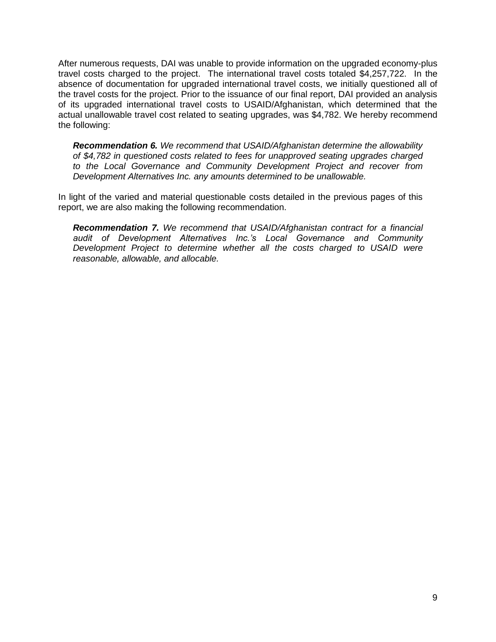After numerous requests, DAI was unable to provide information on the upgraded economy-plus travel costs charged to the project. The international travel costs totaled \$4,257,722. In the absence of documentation for upgraded international travel costs, we initially questioned all of the travel costs for the project. Prior to the issuance of our final report, DAI provided an analysis of its upgraded international travel costs to USAID/Afghanistan, which determined that the actual unallowable travel cost related to seating upgrades, was \$4,782. We hereby recommend the following:

<span id="page-8-0"></span>*Recommendation 6. We recommend that USAID/Afghanistan determine the allowability of \$4,782 in questioned costs related to fees for unapproved seating upgrades charged to the Local Governance and Community Development Project and recover from Development Alternatives Inc. any amounts determined to be unallowable.*

In light of the varied and material questionable costs detailed in the previous pages of this report, we are also making the following recommendation.

<span id="page-8-1"></span>*Recommendation 7. We recommend that USAID/Afghanistan contract for a financial audit of Development Alternatives Inc.'s Local Governance and Community Development Project to determine whether all the costs charged to USAID were reasonable, allowable, and allocable.*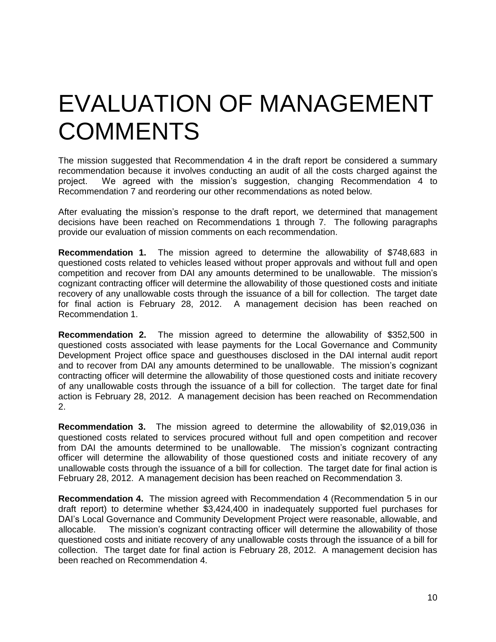## <span id="page-9-0"></span>EVALUATION OF MANAGEMENT **COMMENTS**

The mission suggested that Recommendation 4 in the draft report be considered a summary recommendation because it involves conducting an audit of all the costs charged against the project. We agreed with the mission's suggestion, changing Recommendation 4 to Recommendation 7 and reordering our other recommendations as noted below.

After evaluating the mission's response to the draft report, we determined that management decisions have been reached on Recommendations 1 through 7. The following paragraphs provide our evaluation of mission comments on each recommendation.

**Recommendation 1.** The mission agreed to determine the allowability of \$748,683 in questioned costs related to vehicles leased without proper approvals and without full and open competition and recover from DAI any amounts determined to be unallowable. The mission's cognizant contracting officer will determine the allowability of those questioned costs and initiate recovery of any unallowable costs through the issuance of a bill for collection. The target date for final action is February 28, 2012. A management decision has been reached on Recommendation 1.

**Recommendation 2.** The mission agreed to determine the allowability of \$352,500 in questioned costs associated with lease payments for the Local Governance and Community Development Project office space and guesthouses disclosed in the DAI internal audit report and to recover from DAI any amounts determined to be unallowable. The mission's cognizant contracting officer will determine the allowability of those questioned costs and initiate recovery of any unallowable costs through the issuance of a bill for collection. The target date for final action is February 28, 2012. A management decision has been reached on Recommendation 2.

**Recommendation 3.** The mission agreed to determine the allowability of \$2,019,036 in questioned costs related to services procured without full and open competition and recover from DAI the amounts determined to be unallowable. The mission's cognizant contracting officer will determine the allowability of those questioned costs and initiate recovery of any unallowable costs through the issuance of a bill for collection. The target date for final action is February 28, 2012. A management decision has been reached on Recommendation 3.

**Recommendation 4.** The mission agreed with Recommendation 4 (Recommendation 5 in our draft report) to determine whether \$3,424,400 in inadequately supported fuel purchases for DAI's Local Governance and Community Development Project were reasonable, allowable, and allocable. The mission's cognizant contracting officer will determine the allowability of those questioned costs and initiate recovery of any unallowable costs through the issuance of a bill for collection. The target date for final action is February 28, 2012. A management decision has been reached on Recommendation 4.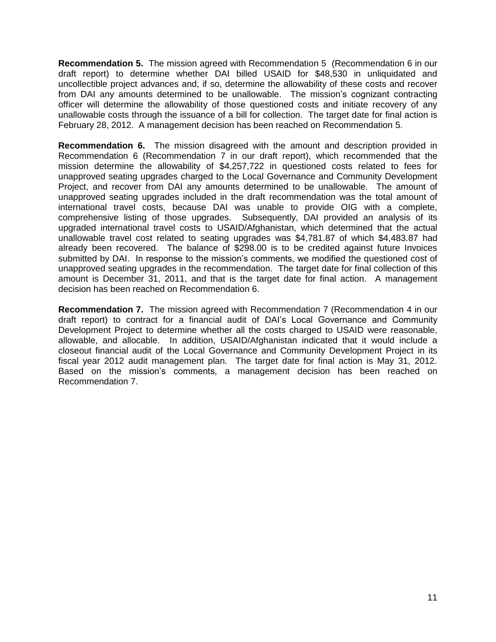**Recommendation 5.** The mission agreed with Recommendation 5 (Recommendation 6 in our draft report) to determine whether DAI billed USAID for \$48,530 in unliquidated and uncollectible project advances and, if so, determine the allowability of these costs and recover from DAI any amounts determined to be unallowable. The mission's cognizant contracting officer will determine the allowability of those questioned costs and initiate recovery of any unallowable costs through the issuance of a bill for collection. The target date for final action is February 28, 2012. A management decision has been reached on Recommendation 5.

**Recommendation 6.** The mission disagreed with the amount and description provided in Recommendation 6 (Recommendation 7 in our draft report), which recommended that the mission determine the allowability of \$4,257,722 in questioned costs related to fees for unapproved seating upgrades charged to the Local Governance and Community Development Project, and recover from DAI any amounts determined to be unallowable. The amount of unapproved seating upgrades included in the draft recommendation was the total amount of international travel costs, because DAI was unable to provide OIG with a complete, comprehensive listing of those upgrades. Subsequently, DAI provided an analysis of its upgraded international travel costs to USAID/Afghanistan, which determined that the actual unallowable travel cost related to seating upgrades was \$4,781.87 of which \$4,483.87 had already been recovered. The balance of \$298.00 is to be credited against future Invoices submitted by DAI. In response to the mission's comments, we modified the questioned cost of unapproved seating upgrades in the recommendation. The target date for final collection of this amount is December 31, 2011, and that is the target date for final action. A management decision has been reached on Recommendation 6.

**Recommendation 7.** The mission agreed with Recommendation 7 (Recommendation 4 in our draft report) to contract for a financial audit of DAI's Local Governance and Community Development Project to determine whether all the costs charged to USAID were reasonable, allowable, and allocable. In addition, USAID/Afghanistan indicated that it would include a closeout financial audit of the Local Governance and Community Development Project in its fiscal year 2012 audit management plan. The target date for final action is May 31, 2012. Based on the mission's comments, a management decision has been reached on Recommendation 7.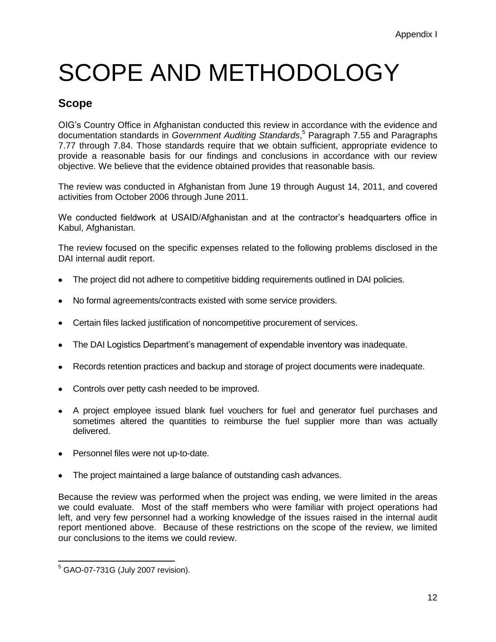## SCOPE AND METHODOLOGY

## **Scope**

OIG's Country Office in Afghanistan conducted this review in accordance with the evidence and documentation standards in *Government Auditing Standards*,<sup>5</sup> Paragraph 7.55 and Paragraphs 7.77 through 7.84. Those standards require that we obtain sufficient, appropriate evidence to provide a reasonable basis for our findings and conclusions in accordance with our review objective. We believe that the evidence obtained provides that reasonable basis.

The review was conducted in Afghanistan from June 19 through August 14, 2011, and covered activities from October 2006 through June 2011.

We conducted fieldwork at USAID/Afghanistan and at the contractor's headquarters office in Kabul, Afghanistan.

The review focused on the specific expenses related to the following problems disclosed in the DAI internal audit report.

- The project did not adhere to competitive bidding requirements outlined in DAI policies.
- No formal agreements/contracts existed with some service providers.
- Certain files lacked justification of noncompetitive procurement of services.
- The DAI Logistics Department's management of expendable inventory was inadequate.
- Records retention practices and backup and storage of project documents were inadequate.
- Controls over petty cash needed to be improved.
- A project employee issued blank fuel vouchers for fuel and generator fuel purchases and sometimes altered the quantities to reimburse the fuel supplier more than was actually delivered.
- Personnel files were not up-to-date.
- The project maintained a large balance of outstanding cash advances.

Because the review was performed when the project was ending, we were limited in the areas we could evaluate. Most of the staff members who were familiar with project operations had left, and very few personnel had a working knowledge of the issues raised in the internal audit report mentioned above. Because of these restrictions on the scope of the review, we limited our conclusions to the items we could review.

 $\overline{a}$  $5$  GAO-07-731G (July 2007 revision).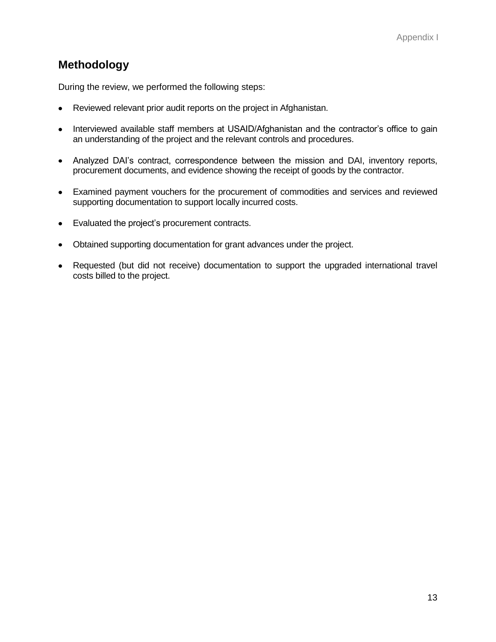### **Methodology**

During the review, we performed the following steps:

- Reviewed relevant prior audit reports on the project in Afghanistan.
- Interviewed available staff members at USAID/Afghanistan and the contractor's office to gain  $\bullet$ an understanding of the project and the relevant controls and procedures.
- Analyzed DAI's contract, correspondence between the mission and DAI, inventory reports,  $\bullet$ procurement documents, and evidence showing the receipt of goods by the contractor.
- Examined payment vouchers for the procurement of commodities and services and reviewed supporting documentation to support locally incurred costs.
- Evaluated the project's procurement contracts.
- Obtained supporting documentation for grant advances under the project.  $\bullet$
- Requested (but did not receive) documentation to support the upgraded international travel  $\bullet$ costs billed to the project.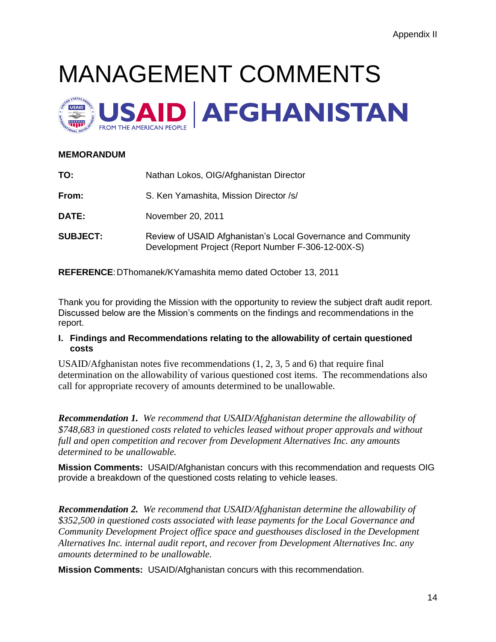# MANAGEMENT COMMENTS



### **MEMORANDUM**

| TO:             | Nathan Lokos, OIG/Afghanistan Director                                                                             |
|-----------------|--------------------------------------------------------------------------------------------------------------------|
| From:           | S. Ken Yamashita, Mission Director /s/                                                                             |
| DATE:           | November 20, 2011                                                                                                  |
| <b>SUBJECT:</b> | Review of USAID Afghanistan's Local Governance and Community<br>Development Project (Report Number F-306-12-00X-S) |

**REFERENCE**:DThomanek/KYamashita memo dated October 13, 2011

Thank you for providing the Mission with the opportunity to review the subject draft audit report. Discussed below are the Mission's comments on the findings and recommendations in the report.

#### **I. Findings and Recommendations relating to the allowability of certain questioned costs**

USAID/Afghanistan notes five recommendations (1, 2, 3, 5 and 6) that require final determination on the allowability of various questioned cost items. The recommendations also call for appropriate recovery of amounts determined to be unallowable.

*Recommendation 1. We recommend that USAID/Afghanistan determine the allowability of \$748,683 in questioned costs related to vehicles leased without proper approvals and without full and open competition and recover from Development Alternatives Inc. any amounts determined to be unallowable.*

**Mission Comments:** USAID/Afghanistan concurs with this recommendation and requests OIG provide a breakdown of the questioned costs relating to vehicle leases.

*Recommendation 2. We recommend that USAID/Afghanistan determine the allowability of \$352,500 in questioned costs associated with lease payments for the Local Governance and Community Development Project office space and guesthouses disclosed in the Development Alternatives Inc. internal audit report, and recover from Development Alternatives Inc. any amounts determined to be unallowable.*

**Mission Comments:** USAID/Afghanistan concurs with this recommendation.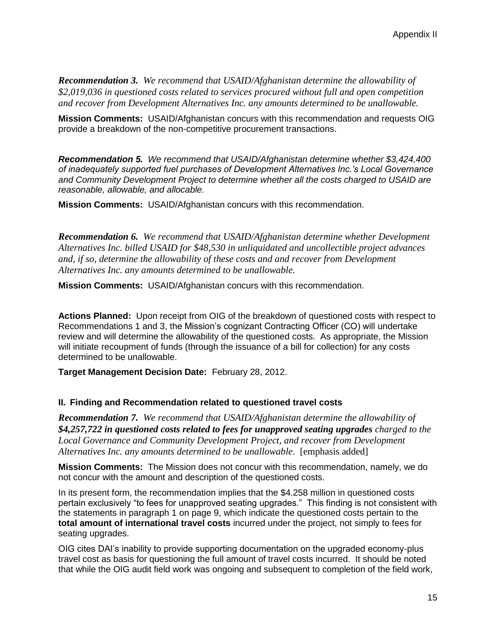*Recommendation 3.**We recommend that USAID/Afghanistan determine the allowability of \$2,019,036 in questioned costs related to services procured without full and open competition and recover from Development Alternatives Inc. any amounts determined to be unallowable.*

**Mission Comments:** USAID/Afghanistan concurs with this recommendation and requests OIG provide a breakdown of the non-competitive procurement transactions.

*Recommendation 5.**We recommend that USAID/Afghanistan determine whether \$3,424,400 of inadequately supported fuel purchases of Development Alternatives Inc.'s Local Governance and Community Development Project to determine whether all the costs charged to USAID are reasonable, allowable, and allocable.*

**Mission Comments:** USAID/Afghanistan concurs with this recommendation.

*Recommendation 6. We recommend that USAID/Afghanistan determine whether Development Alternatives Inc. billed USAID for \$48,530 in unliquidated and uncollectible project advances and, if so, determine the allowability of these costs and and recover from Development Alternatives Inc. any amounts determined to be unallowable.*

**Mission Comments:** USAID/Afghanistan concurs with this recommendation.

**Actions Planned:** Upon receipt from OIG of the breakdown of questioned costs with respect to Recommendations 1 and 3, the Mission's cognizant Contracting Officer (CO) will undertake review and will determine the allowability of the questioned costs. As appropriate, the Mission will initiate recoupment of funds (through the issuance of a bill for collection) for any costs determined to be unallowable.

**Target Management Decision Date:** February 28, 2012.

#### **II. Finding and Recommendation related to questioned travel costs**

*Recommendation 7. We recommend that USAID/Afghanistan determine the allowability of \$4,257,722 in questioned costs related to fees for unapproved seating upgrades charged to the Local Governance and Community Development Project, and recover from Development Alternatives Inc. any amounts determined to be unallowable*. [emphasis added]

**Mission Comments:** The Mission does not concur with this recommendation, namely, we do not concur with the amount and description of the questioned costs.

In its present form, the recommendation implies that the \$4.258 million in questioned costs pertain exclusively "to fees for unapproved seating upgrades." This finding is not consistent with the statements in paragraph 1 on page 9, which indicate the questioned costs pertain to the **total amount of international travel costs** incurred under the project, not simply to fees for seating upgrades.

OIG cites DAI's inability to provide supporting documentation on the upgraded economy-plus travel cost as basis for questioning the full amount of travel costs incurred. It should be noted that while the OIG audit field work was ongoing and subsequent to completion of the field work,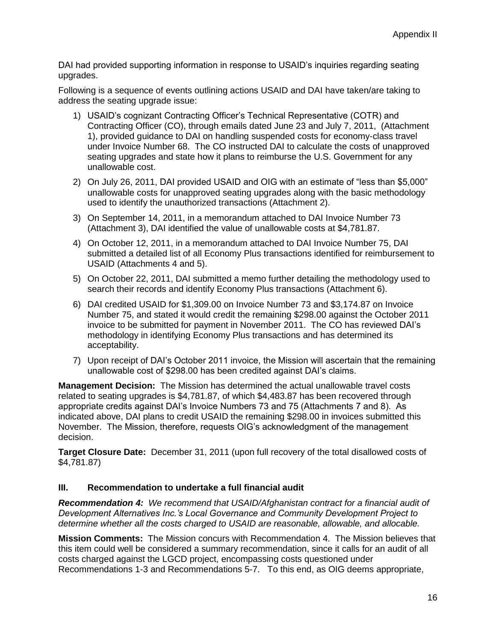DAI had provided supporting information in response to USAID's inquiries regarding seating upgrades.

Following is a sequence of events outlining actions USAID and DAI have taken/are taking to address the seating upgrade issue:

- 1) USAID's cognizant Contracting Officer's Technical Representative (COTR) and Contracting Officer (CO), through emails dated June 23 and July 7, 2011, (Attachment 1), provided guidance to DAI on handling suspended costs for economy-class travel under Invoice Number 68. The CO instructed DAI to calculate the costs of unapproved seating upgrades and state how it plans to reimburse the U.S. Government for any unallowable cost.
- 2) On July 26, 2011, DAI provided USAID and OIG with an estimate of "less than \$5,000" unallowable costs for unapproved seating upgrades along with the basic methodology used to identify the unauthorized transactions (Attachment 2).
- 3) On September 14, 2011, in a memorandum attached to DAI Invoice Number 73 (Attachment 3), DAI identified the value of unallowable costs at \$4,781.87.
- 4) On October 12, 2011, in a memorandum attached to DAI Invoice Number 75, DAI submitted a detailed list of all Economy Plus transactions identified for reimbursement to USAID (Attachments 4 and 5).
- 5) On October 22, 2011, DAI submitted a memo further detailing the methodology used to search their records and identify Economy Plus transactions (Attachment 6).
- 6) DAI credited USAID for \$1,309.00 on Invoice Number 73 and \$3,174.87 on Invoice Number 75, and stated it would credit the remaining \$298.00 against the October 2011 invoice to be submitted for payment in November 2011. The CO has reviewed DAI's methodology in identifying Economy Plus transactions and has determined its acceptability.
- 7) Upon receipt of DAI's October 2011 invoice, the Mission will ascertain that the remaining unallowable cost of \$298.00 has been credited against DAI's claims.

**Management Decision:** The Mission has determined the actual unallowable travel costs related to seating upgrades is \$4,781.87, of which \$4,483.87 has been recovered through appropriate credits against DAI's Invoice Numbers 73 and 75 (Attachments 7 and 8). As indicated above, DAI plans to credit USAID the remaining \$298.00 in invoices submitted this November. The Mission, therefore, requests OIG's acknowledgment of the management decision.

**Target Closure Date:** December 31, 2011 (upon full recovery of the total disallowed costs of \$4,781.87)

#### **III. Recommendation to undertake a full financial audit**

*Recommendation 4: We recommend that USAID/Afghanistan contract for a financial audit of Development Alternatives Inc.'s Local Governance and Community Development Project to determine whether all the costs charged to USAID are reasonable, allowable, and allocable.*

**Mission Comments:** The Mission concurs with Recommendation 4. The Mission believes that this item could well be considered a summary recommendation, since it calls for an audit of all costs charged against the LGCD project, encompassing costs questioned under Recommendations 1-3 and Recommendations 5-7. To this end, as OIG deems appropriate,